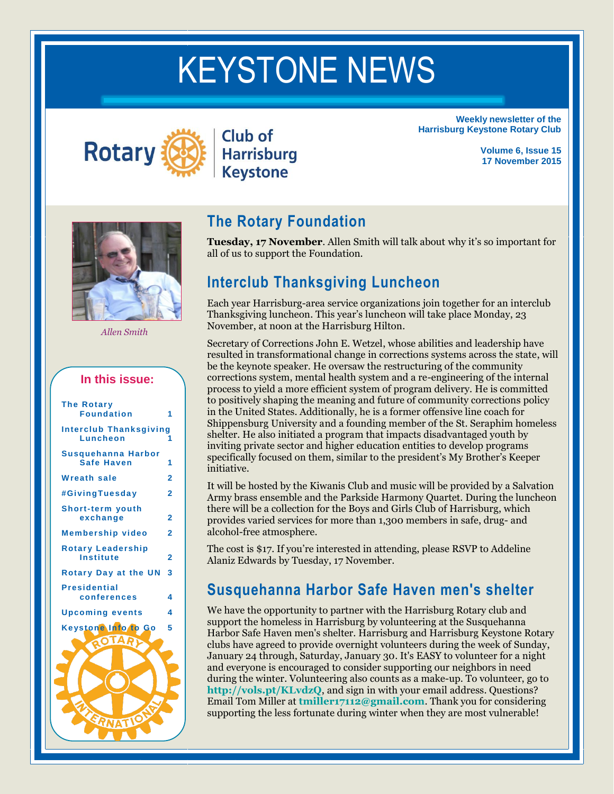# KEYSTONE NEWS



KEYSTONE NEWS

Club of **Harrisburg Keystone** 

**Weekly newsletter of the Harrisburg Keystone Rotary Club**

> **Volume 6, Issue 15 17 November 2015**



*Allen Smith*

#### **In this issue:**

| <b>The Rotary</b><br><b>Foundation</b>       |   |
|----------------------------------------------|---|
| <b>Interclub Thanksgiving</b><br>Luncheon    | 1 |
| Susquehanna Harbor<br><b>Safe Haven</b>      | 1 |
| <b>Wreath sale</b>                           | 2 |
| #GivingTuesday                               | 2 |
| <b>Short-term youth</b><br>exchange          | 2 |
| <b>Membership video</b>                      | 2 |
| <b>Rotary Leadership</b><br><b>Institute</b> | 2 |
| <b>Rotary Day at the UN</b>                  | 3 |
| <b>Presidential</b><br>conferences           | 4 |
| <b>Upcoming events</b>                       | 4 |
| Keystone Info to Go                          | 5 |
| O TA                                         |   |
|                                              |   |
|                                              |   |
|                                              |   |
| <b>RNATIS</b>                                |   |
|                                              |   |

#### **The Rotary Foundation**

**Tuesday, 17 November**. Allen Smith will talk about why it's so important for all of us to support the Foundation.

#### **Interclub Thanksgiving Luncheon**

Each year Harrisburg-area service organizations join together for an interclub Thanksgiving luncheon. This year's luncheon will take place Monday, 23 November, at noon at the Harrisburg Hilton.

Secretary of Corrections John E. Wetzel, whose abilities and leadership have resulted in transformational change in corrections systems across the state, will be the keynote speaker. He oversaw the restructuring of the community corrections system, mental health system and a re-engineering of the internal process to yield a more efficient system of program delivery. He is committed to positively shaping the meaning and future of community corrections policy in the United States. Additionally, he is a former offensive line coach for Shippensburg University and a founding member of the St. Seraphim homeless shelter. He also initiated a program that impacts disadvantaged youth by inviting private sector and higher education entities to develop programs specifically focused on them, similar to the president's My Brother's Keeper initiative.

It will be hosted by the Kiwanis Club and music will be provided by a Salvation Army brass ensemble and the Parkside Harmony Quartet. During the luncheon there will be a collection for the Boys and Girls Club of Harrisburg, which provides varied services for more than 1,300 members in safe, drug- and alcohol-free atmosphere.

The cost is \$17. If you're interested in attending, please RSVP to Addeline Alaniz Edwards by Tuesday, 17 November.

#### **Susquehanna Harbor Safe Haven men's shelter**

We have the opportunity to partner with the Harrisburg Rotary club and support the homeless in Harrisburg by volunteering at the Susquehanna Harbor Safe Haven men's shelter. Harrisburg and Harrisburg Keystone Rotary clubs have agreed to provide overnight volunteers during the week of Sunday, January 24 through, Saturday, January 30. It's EASY to volunteer for a night and everyone is encouraged to consider supporting our neighbors in need during the winter. Volunteering also counts as a make-up. To volunteer, go to **<http://vols.pt/KLvdzQ>**, and sign in with your email address. Questions? Email Tom Miller at **[tmiller17112@gmail.com](mailto:tmiller17112@gmail.com)**. Thank you for considering supporting the less fortunate during winter when they are most vulnerable!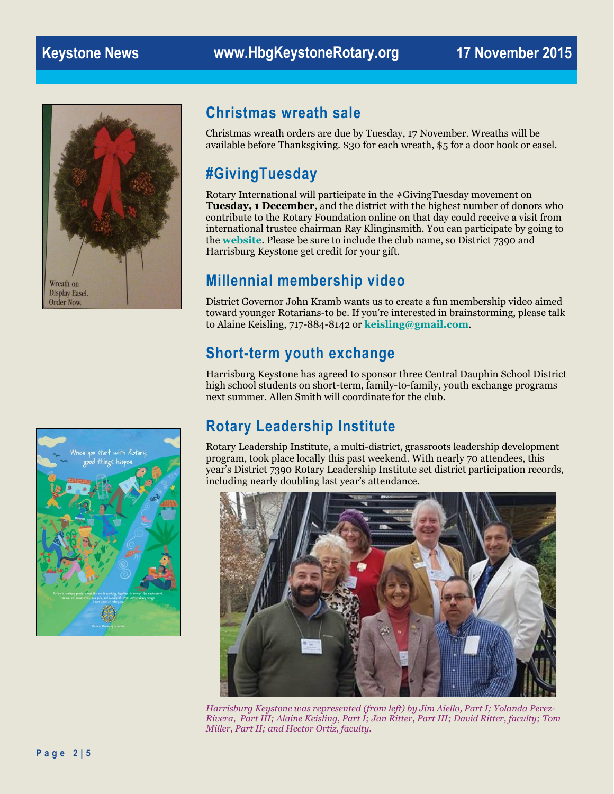

#### **Christmas wreath sale**

Christmas wreath orders are due by Tuesday, 17 November. Wreaths will be available before Thanksgiving. \$30 for each wreath, \$5 for a door hook or easel.

## **#GivingTuesday**

Rotary International will participate in the #GivingTuesday movement on **Tuesday, 1 December**, and the district with the highest number of donors who contribute to the Rotary Foundation online on that day could receive a visit from international trustee chairman Ray Klinginsmith. You can participate by going to the **[website](https://www.rotary.org/en/give)**. Please be sure to include the club name, so District 7390 and Harrisburg Keystone get credit for your gift.

### **Millennial membership video**

District Governor John Kramb wants us to create a fun membership video aimed toward younger Rotarians-to be. If you're interested in brainstorming, please talk to Alaine Keisling, 717-884-8142 or **[keisling@gmail.com](mailto:keisling@gmail.com?subject=Rotary%20video)**.

#### **Short-term youth exchange**

Harrisburg Keystone has agreed to sponsor three Central Dauphin School District high school students on short-term, family-to-family, youth exchange programs next summer. Allen Smith will coordinate for the club.



# **Rotary Leadership Institute**

Rotary Leadership Institute, a multi-district, grassroots leadership development program, took place locally this past weekend. With nearly 70 attendees, this year's District 7390 Rotary Leadership Institute set district participation records, including nearly doubling last year's attendance.



*Harrisburg Keystone was represented (from left) by Jim Aiello, Part I; Yolanda Perez-Rivera, Part III; Alaine Keisling, Part I; Jan Ritter, Part III; David Ritter, faculty; Tom Miller, Part II; and Hector Ortiz, faculty.*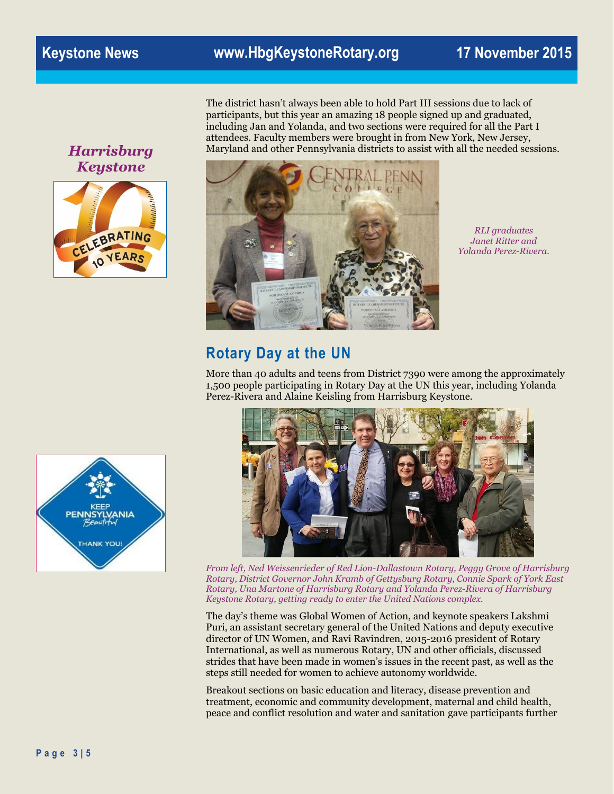*Harrisburg Keystone*



The district hasn't always been able to hold Part III sessions due to lack of participants, but this year an amazing 18 people signed up and graduated, including Jan and Yolanda, and two sections were required for all the Part I attendees. Faculty members were brought in from New York, New Jersey, Maryland and other Pennsylvania districts to assist with all the needed sessions.



*RLI graduates Janet Ritter and Yolanda Perez-Rivera.*

#### **Rotary Day at the UN**

More than 40 adults and teens from District 7390 were among the approximately 1,500 people participating in Rotary Day at the UN this year, including Yolanda Perez-Rivera and Alaine Keisling from Harrisburg Keystone.





*From left, Ned Weissenrieder of Red Lion-Dallastown Rotary, Peggy Grove of Harrisburg Rotary, District Governor John Kramb of Gettysburg Rotary, Connie Spark of York East Rotary, Una Martone of Harrisburg Rotary and Yolanda Perez-Rivera of Harrisburg Keystone Rotary, getting ready to enter the United Nations complex.*

The day's theme was Global Women of Action, and keynote speakers Lakshmi Puri, an assistant secretary general of the United Nations and deputy executive director of UN Women, and Ravi Ravindren, 2015-2016 president of Rotary International, as well as numerous Rotary, UN and other officials, discussed strides that have been made in women's issues in the recent past, as well as the steps still needed for women to achieve autonomy worldwide.

Breakout sections on basic education and literacy, disease prevention and treatment, economic and community development, maternal and child health, peace and conflict resolution and water and sanitation gave participants further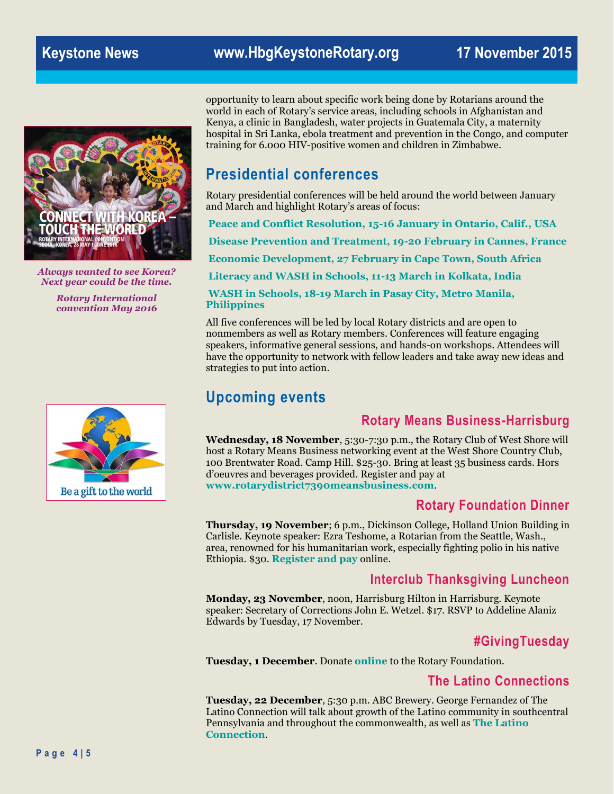

*Always wanted to see Korea? Next year could be the time.*

> *Rotary International convention May 2016*



opportunity to learn about specific work being done by Rotarians around the world in each of Rotary's service areas, including schools in Afghanistan and Kenya, a clinic in Bangladesh, water projects in Guatemala City, a maternity hospital in Sri Lanka, ebola treatment and prevention in the Congo, and computer training for 6.000 HIV-positive women and children in Zimbabwe.

### **Presidential conferences**

Rotary presidential conferences will be held around the world between January and March and highlight Rotary's areas of focus:

**[Peace and Conflict Resolution, 15-16 January in Ontario, Calif., USA](http://www.peaceconference2016.org/) [Disease Prevention and Treatment, 19-20 February in Cannes, France](http://rotary-conference-cannes2016.org/fr-fr/) [Economic Development, 27 February in Cape Town, South Africa](http://www.rotarycapetown2016.com/) [Literacy and WASH in Schools, 11-13 March in Kolkata, India](http://www.rotaryteach.org/presidentialconference/index.shtml)**

**[WASH in Schools, 18-19 March in Pasay City, Metro Manila,](http://2016rotarypresidentialconferencemanila.org/presidents-message/)  [Philippines](http://2016rotarypresidentialconferencemanila.org/presidents-message/)**

All five conferences will be led by local Rotary districts and are open to nonmembers as well as Rotary members. Conferences will feature engaging speakers, informative general sessions, and hands-on workshops. Attendees will have the opportunity to network with fellow leaders and take away new ideas and strategies to put into action.

#### **Upcoming events**

#### **Rotary Means Business-Harrisburg**

**Wednesday, 18 November**, 5:30-7:30 p.m., the Rotary Club of West Shore will host a Rotary Means Business networking event at the West Shore Country Club, 100 Brentwater Road. Camp Hill. \$25-30. Bring at least 35 business cards. Hors d'oeuvres and beverages provided. Register and pay at **[www.rotarydistrict7390meansbusiness.com](http://www.rotarydistrict7390meansbusiness.com/)**.

#### **Rotary Foundation Dinner**

**Thursday, 19 November**; 6 p.m., Dickinson College, Holland Union Building in Carlisle. Keynote speaker: Ezra Teshome, a Rotarian from the Seattle, Wash., area, renowned for his humanitarian work, especially fighting polio in his native Ethiopia. \$30. **[Register and pay](http://www.crsadmin.com/EventPortal/Registrations/PublicFill/EventPublicFill.aspx?evtid=46c9c4ae-0c9c-48fc-9980-6e72f0209a28)** online.

#### **Interclub Thanksgiving Luncheon**

**Monday, 23 November**, noon, Harrisburg Hilton in Harrisburg. Keynote speaker: Secretary of Corrections John E. Wetzel. \$17. RSVP to Addeline Alaniz Edwards by Tuesday, 17 November.

#### **#GivingTuesday**

**Tuesday, 1 December**. Donate **[online](https://www.rotary.org/en/give)** to the Rotary Foundation.

#### **The Latino Connections**

**Tuesday, 22 December**, 5:30 p.m. ABC Brewery. George Fernandez of The Latino Connection will talk about growth of the Latino community in southcentral Pennsylvania and throughout the commonwealth, as well as **[The Latino](http://www.thelatinoconnection.net/)  [Connection](http://www.thelatinoconnection.net/)**.